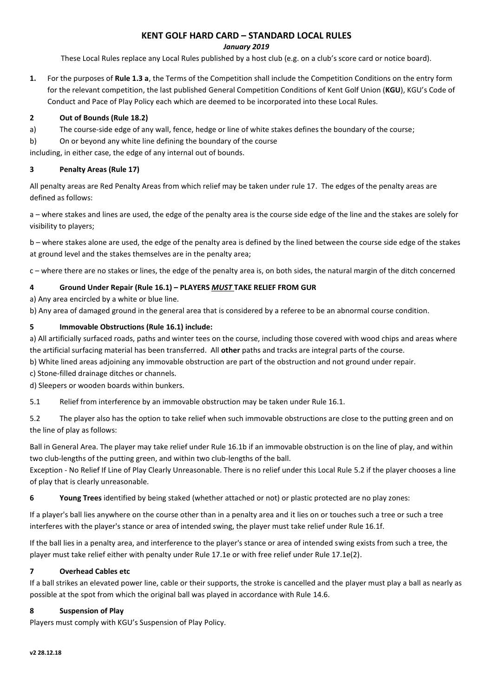**KENT GOLF HARD CARD – STANDARD LOCAL RULES**

#### *January 2019*

These Local Rules replace any Local Rules published by a host club (e.g. on a club's score card or notice board).

**1.** For the purposes of **Rule 1.3 a**, the Terms of the Competition shall include the Competition Conditions on the entry form for the relevant competition, the last published General Competition Conditions of Kent Golf Union (**KGU**), KGU's Code of Conduct and Pace of Play Policy each which are deemed to be incorporated into these Local Rules.

### **2 Out of Bounds (Rule 18.2)**

- a) The course-side edge of any wall, fence, hedge or line of white stakes defines the boundary of the course;
- b) On or beyond any white line defining the boundary of the course

including, in either case, the edge of any internal out of bounds.

### **3 Penalty Areas (Rule 17)**

All penalty areas are Red Penalty Areas from which relief may be taken under rule 17. The edges of the penalty areas are defined as follows:

a – where stakes and lines are used, the edge of the penalty area is the course side edge of the line and the stakes are solely for visibility to players;

b – where stakes alone are used, the edge of the penalty area is defined by the lined between the course side edge of the stakes at ground level and the stakes themselves are in the penalty area;

c – where there are no stakes or lines, the edge of the penalty area is, on both sides, the natural margin of the ditch concerned

## **4 Ground Under Repair (Rule 16.1) – PLAYERS** *MUST* **TAKE RELIEF FROM GUR**

a) Any area encircled by a white or blue line.

b) Any area of damaged ground in the general area that is considered by a referee to be an abnormal course condition.

## **5 Immovable Obstructions (Rule 16.1) include:**

a) All artificially surfaced roads, paths and winter tees on the course, including those covered with wood chips and areas where the artificial surfacing material has been transferred. All **other** paths and tracks are integral parts of the course.

b) White lined areas adjoining any immovable obstruction are part of the obstruction and not ground under repair.

c) Stone-filled drainage ditches or channels.

d) Sleepers or wooden boards within bunkers.

5.1 Relief from interference by an immovable obstruction may be taken under Rule 16.1.

5.2 The player also has the option to take relief when such immovable obstructions are close to the putting green and on the line of play as follows:

Ball in General Area. The player may take relief under Rule 16.1b if an immovable obstruction is on the line of play, and within two club-lengths of the putting green, and within two club-lengths of the ball.

Exception - No Relief If Line of Play Clearly Unreasonable. There is no relief under this Local Rule 5.2 if the player chooses a line of play that is clearly unreasonable.

**6 Young Trees** identified by being staked (whether attached or not) or plastic protected are no play zones:

If a player's ball lies anywhere on the course other than in a penalty area and it lies on or touches such a tree or such a tree interferes with the player's stance or area of intended swing, the player must take relief under Rule 16.1f.

If the ball lies in a penalty area, and interference to the player's stance or area of intended swing exists from such a tree, the player must take relief either with penalty under Rule 17.1e or with free relief under Rule 17.1e(2).

### **7 Overhead Cables etc**

If a ball strikes an elevated power line, cable or their supports, the stroke is cancelled and the player must play a ball as nearly as possible at the spot from which the original ball was played in accordance with Rule 14.6.

### **8 Suspension of Play**

Players must comply with KGU's Suspension of Play Policy.